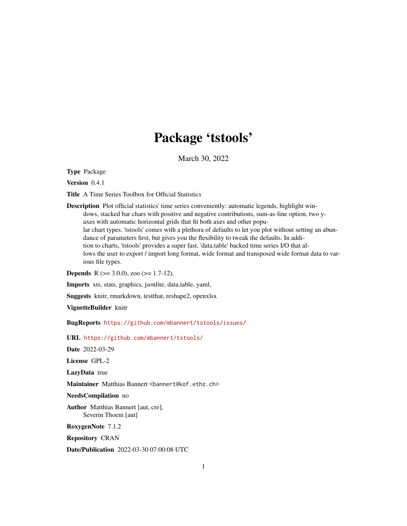# Package 'tstools'

March 30, 2022

<span id="page-0-0"></span>Type Package

Version 0.4.1

Title A Time Series Toolbox for Official Statistics

Description Plot official statistics' time series conveniently: automatic legends, highlight windows, stacked bar chars with positive and negative contributions, sum-as-line option, two yaxes with automatic horizontal grids that fit both axes and other popular chart types. 'tstools' comes with a plethora of defaults to let you plot without setting an abundance of parameters first, but gives you the flexibility to tweak the defaults. In addition to charts, 'tstools' provides a super fast, 'data.table' backed time series I/O that allows the user to export / import long format, wide format and transposed wide format data to various file types.

**Depends** R ( $>= 3.0.0$ ), zoo ( $>= 1.7-12$ ),

Imports xts, stats, graphics, jsonlite, data.table, yaml,

Suggests knitr, rmarkdown, testthat, reshape2, openxlsx

VignetteBuilder knitr

BugReports <https://github.com/mbannert/tstools/issues/>

URL <https://github.com/mbannert/tstools/>

Date 2022-03-29

License GPL-2

LazyData true

Maintainer Matthias Bannert <br/>bannert@kof.ethz.ch>

NeedsCompilation no

Author Matthias Bannert [aut, cre], Severin Thoeni [aut]

RoxygenNote 7.1.2

Repository CRAN

Date/Publication 2022-03-30 07:00:08 UTC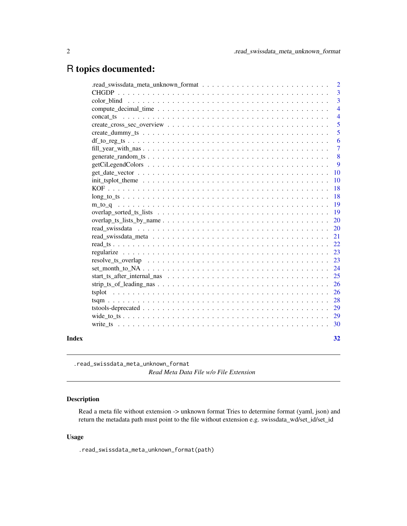## <span id="page-1-0"></span>R topics documented:

|                                                                                                                         |  |  |  | $\overline{2}$ |
|-------------------------------------------------------------------------------------------------------------------------|--|--|--|----------------|
|                                                                                                                         |  |  |  | 3              |
|                                                                                                                         |  |  |  | $\overline{3}$ |
|                                                                                                                         |  |  |  | $\overline{4}$ |
|                                                                                                                         |  |  |  | $\overline{4}$ |
|                                                                                                                         |  |  |  | 5              |
|                                                                                                                         |  |  |  | 5              |
|                                                                                                                         |  |  |  | 6              |
| fill year with $\text{nas } \ldots \ldots \ldots \ldots \ldots \ldots \ldots \ldots \ldots \ldots \ldots \ldots \ldots$ |  |  |  | $\overline{7}$ |
|                                                                                                                         |  |  |  | 8              |
|                                                                                                                         |  |  |  | 9              |
|                                                                                                                         |  |  |  | 10             |
|                                                                                                                         |  |  |  | 10             |
|                                                                                                                         |  |  |  | 18             |
|                                                                                                                         |  |  |  | 18             |
|                                                                                                                         |  |  |  | 19             |
|                                                                                                                         |  |  |  | 19             |
|                                                                                                                         |  |  |  | 20             |
|                                                                                                                         |  |  |  | 20             |
|                                                                                                                         |  |  |  | 21             |
|                                                                                                                         |  |  |  | 22             |
|                                                                                                                         |  |  |  | 23             |
|                                                                                                                         |  |  |  | 23             |
|                                                                                                                         |  |  |  | 24             |
|                                                                                                                         |  |  |  | 25             |
|                                                                                                                         |  |  |  | 26             |
|                                                                                                                         |  |  |  | 26             |
|                                                                                                                         |  |  |  | 28             |
|                                                                                                                         |  |  |  | 29             |
|                                                                                                                         |  |  |  | 29             |
|                                                                                                                         |  |  |  | 30             |
|                                                                                                                         |  |  |  | 32             |
|                                                                                                                         |  |  |  |                |

.read\_swissdata\_meta\_unknown\_format *Read Meta Data File w/o File Extension*

## Description

Read a meta file without extension -> unknown format Tries to determine format (yaml, json) and return the metadata path must point to the file without extension e.g. swissdata\_wd/set\_id/set\_id

## Usage

.read\_swissdata\_meta\_unknown\_format(path)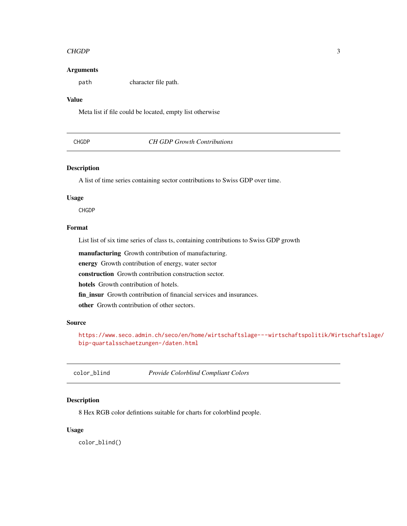#### <span id="page-2-0"></span> $CHGDP$  3

#### Arguments

path character file path.

#### Value

Meta list if file could be located, empty list otherwise

## CHGDP *CH GDP Growth Contributions*

## Description

A list of time series containing sector contributions to Swiss GDP over time.

#### Usage

CHGDP

## Format

List list of six time series of class ts, containing contributions to Swiss GDP growth

manufacturing Growth contribution of manufacturing.

energy Growth contribution of energy, water sector

construction Growth contribution construction sector.

hotels Growth contribution of hotels.

fin\_insur Growth contribution of financial services and insurances.

other Growth contribution of other sectors.

#### Source

[https://www.seco.admin.ch/seco/en/home/wirtschaftslage---wirtschaftspolitik/Wir](https://www.seco.admin.ch/seco/en/home/wirtschaftslage---wirtschaftspolitik/Wirtschaftslage/bip-quartalsschaetzungen-/daten.html)tschaftslage/ [bip-quartalsschaetzungen-/daten.html](https://www.seco.admin.ch/seco/en/home/wirtschaftslage---wirtschaftspolitik/Wirtschaftslage/bip-quartalsschaetzungen-/daten.html)

color\_blind *Provide Colorblind Compliant Colors*

#### Description

8 Hex RGB color defintions suitable for charts for colorblind people.

### Usage

color\_blind()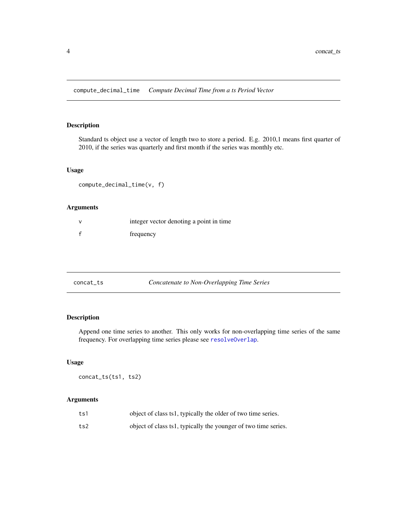<span id="page-3-1"></span><span id="page-3-0"></span>compute\_decimal\_time *Compute Decimal Time from a ts Period Vector*

#### Description

Standard ts object use a vector of length two to store a period. E.g. 2010,1 means first quarter of 2010, if the series was quarterly and first month if the series was monthly etc.

#### Usage

compute\_decimal\_time(v, f)

## Arguments

| integer vector denoting a point in time |
|-----------------------------------------|
| frequency                               |

<span id="page-3-2"></span>

| concat_ts | Concatenate to Non-Overlapping Time Series |  |
|-----------|--------------------------------------------|--|
|-----------|--------------------------------------------|--|

## Description

Append one time series to another. This only works for non-overlapping time series of the same frequency. For overlapping time series please see [resolveOverlap](#page-28-1).

#### Usage

concat\_ts(ts1, ts2)

| ts1 | object of class ts1, typically the older of two time series.   |
|-----|----------------------------------------------------------------|
| ts2 | object of class ts1, typically the younger of two time series. |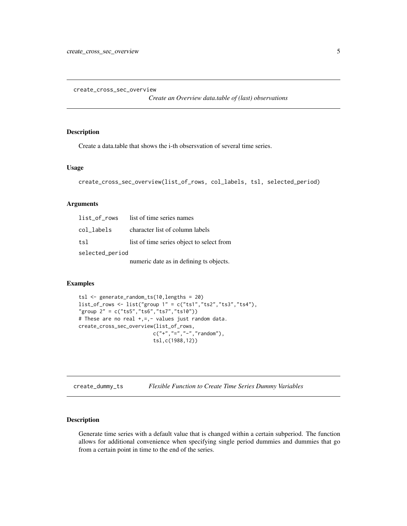<span id="page-4-0"></span>create\_cross\_sec\_overview

*Create an Overview data.table of (last) observations*

## Description

Create a data.table that shows the i-th obsersvation of several time series.

#### Usage

```
create_cross_sec_overview(list_of_rows, col_labels, tsl, selected_period)
```
## Arguments

| list of rows    | list of time series names                 |
|-----------------|-------------------------------------------|
| col_labels      | character list of column labels           |
| tsl             | list of time series object to select from |
| selected_period |                                           |
|                 | numeric date as in defining ts objects.   |

## Examples

```
tsl <- generate_random_ts(10,lengths = 20)
list_of_rows <- list("group 1" = c("ts1","ts2","ts3","ts4"),
"group 2" = c("ts5","ts6","ts7","ts10"))
# These are no real +,=,- values just random data.
create_cross_sec_overview(list_of_rows,
                         c("+","=","-","random"),
                         tsl,c(1988,12))
```
create\_dummy\_ts *Flexible Function to Create Time Series Dummy Variables*

## Description

Generate time series with a default value that is changed within a certain subperiod. The function allows for additional convenience when specifying single period dummies and dummies that go from a certain point in time to the end of the series.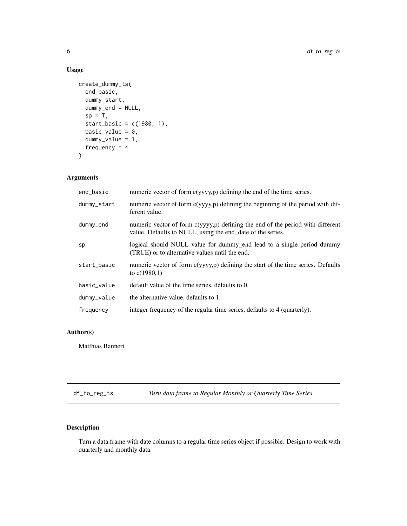## Usage

```
create_dummy_ts(
  end_basic,
  dummy_start,
  dummy_end = NULL,
  sp = T,
  start_basic = c(1980, 1),
  basic_value = 0,
  dummy_value = 1,
  frequency = 4\mathcal{L}
```
## Arguments

| end_basic   | numeric vector of form c(yyyy,p) defining the end of the time series.                                                                        |
|-------------|----------------------------------------------------------------------------------------------------------------------------------------------|
| dummy_start | numeric vector of form c(yyyy,p) defining the beginning of the period with dif-<br>ferent value.                                             |
| dummy_end   | numeric vector of form c(yyyy,p) defining the end of the period with different<br>value. Defaults to NULL, using the end_date of the series. |
| sp          | logical should NULL value for dummy_end lead to a single period dummy<br>(TRUE) or to alternative values until the end.                      |
| start_basic | numeric vector of form c(yyyy,p) defining the start of the time series. Defaults<br>to $c(1980,1)$                                           |
| basic_value | default value of the time series, defaults to 0.                                                                                             |
| dummy_value | the alternative value, defaults to 1.                                                                                                        |
| frequency   | integer frequency of the regular time series, defaults to 4 (quarterly).                                                                     |

## Author(s)

Matthias Bannert

df\_to\_reg\_ts *Turn data.frame to Regular Monthly or Quarterly Time Series*

## Description

Turn a data.frame with date columns to a regular time series object if possible. Design to work with quarterly and monthly data.

<span id="page-5-0"></span>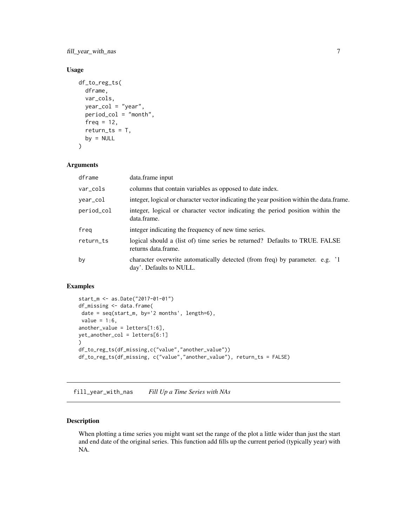<span id="page-6-0"></span>fill\_year\_with\_nas 7

## Usage

```
df_to_reg_ts(
  dframe,
  var_cols,
 year_col = "year",
 period_col = "month",
  freq = 12,
  return_t s = T,
 by = NULL)
```
## Arguments

| dframe     | data.frame input                                                                                        |
|------------|---------------------------------------------------------------------------------------------------------|
| var_cols   | columns that contain variables as opposed to date index.                                                |
| year_col   | integer, logical or character vector indicating the year position within the data.frame.                |
| period_col | integer, logical or character vector indicating the period position within the<br>data.frame.           |
| freg       | integer indicating the frequency of new time series.                                                    |
| return_ts  | logical should a (list of) time series be returned? Defaults to TRUE. FALSE<br>returns data.frame.      |
| by         | character overwrite automatically detected (from freq) by parameter. e.g. '1<br>day'. Defaults to NULL. |

## Examples

```
start_m <- as.Date("2017-01-01")
df_missing <- data.frame(
date = seq(start_m, by='2 months', length=6),
value = 1:6,
another_value = letters[1:6],
yet_another_col = letters[6:1]
)
df_to_reg_ts(df_missing,c("value","another_value"))
df_to_reg_ts(df_missing, c("value","another_value"), return_ts = FALSE)
```
<span id="page-6-1"></span>fill\_year\_with\_nas *Fill Up a Time Series with NAs*

## Description

When plotting a time series you might want set the range of the plot a little wider than just the start and end date of the original series. This function add fills up the current period (typically year) with NA.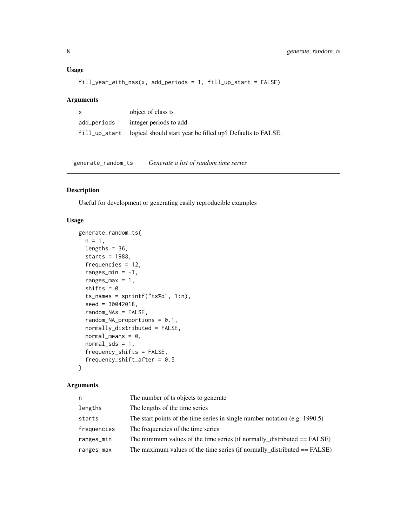## <span id="page-7-0"></span>Usage

fill\_year\_with\_nas(x, add\_periods = 1, fill\_up\_start = FALSE)

## Arguments

| X           | object of class ts                                                       |
|-------------|--------------------------------------------------------------------------|
| add_periods | integer periods to add.                                                  |
|             | fill_up_start logical should start year be filled up? Defaults to FALSE. |

generate\_random\_ts *Generate a list of random time series*

## Description

Useful for development or generating easily reproducible examples

#### Usage

```
generate_random_ts(
 n = 1,
  lengths = 36,
  starts = 1988,
  frequencies = 12,
  ranges_min = -1,
  ranges_max = 1,
  shifts = 0,
  ts\_names = sprintf("ts%d", 1:n),seed = 30042018,
  random_NAs = FALSE,
  random_NA_proportions = 0.1,
  normally_distributed = FALSE,
  normal_means = 0,
  normal_sds = 1,
  frequency_shifts = FALSE,
  frequency_shift_after = 0.5
\mathcal{L}
```

| n           | The number of ts objects to generate                                           |
|-------------|--------------------------------------------------------------------------------|
| lengths     | The lengths of the time series                                                 |
| starts      | The start points of the time series in single number notation (e.g. $1990.5$ ) |
| frequencies | The frequencies of the time series                                             |
| ranges_min  | The minimum values of the time series (if normally_distributed $==$ FALSE)     |
| ranges_max  | The maximum values of the time series (if normally_distributed $==$ FALSE)     |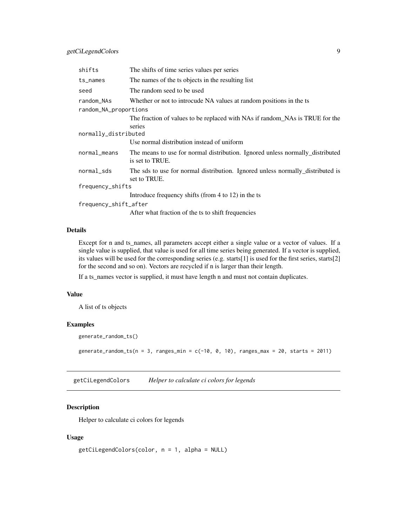<span id="page-8-0"></span>

| shifts                | The shifts of time series values per series                                                      |
|-----------------------|--------------------------------------------------------------------------------------------------|
| ts_names              | The names of the ts objects in the resulting list                                                |
| seed                  | The random seed to be used                                                                       |
| random_NAs            | Whether or not to introcude NA values at random positions in the ts                              |
| random_NA_proportions |                                                                                                  |
|                       | The fraction of values to be replaced with NAs if random NAs is TRUE for the                     |
|                       | series                                                                                           |
| normally_distributed  |                                                                                                  |
|                       | Use normal distribution instead of uniform                                                       |
| normal_means          | The means to use for normal distribution. Ignored unless normally distributed<br>is set to TRUE. |
| normal_sds            | The sds to use for normal distribution. Ignored unless normally distributed is<br>set to TRUE.   |
| frequency_shifts      |                                                                                                  |
|                       | Introduce frequency shifts (from 4 to 12) in the ts                                              |
| frequency_shift_after |                                                                                                  |
|                       | After what fraction of the ts to shift frequencies                                               |

## Details

Except for n and ts\_names, all parameters accept either a single value or a vector of values. If a single value is supplied, that value is used for all time series being generated. If a vector is supplied, its values will be used for the corresponding series (e.g. starts[1] is used for the first series, starts[2] for the second and so on). Vectors are recycled if n is larger than their length.

If a ts\_names vector is supplied, it must have length n and must not contain duplicates.

#### Value

A list of ts objects

#### Examples

```
generate_random_ts()
```
generate\_random\_ts(n = 3, ranges\_min =  $c(-10, 0, 10)$ , ranges\_max = 20, starts = 2011)

getCiLegendColors *Helper to calculate ci colors for legends*

## Description

Helper to calculate ci colors for legends

```
getCiLegendColors(color, n = 1, alpha = NULL)
```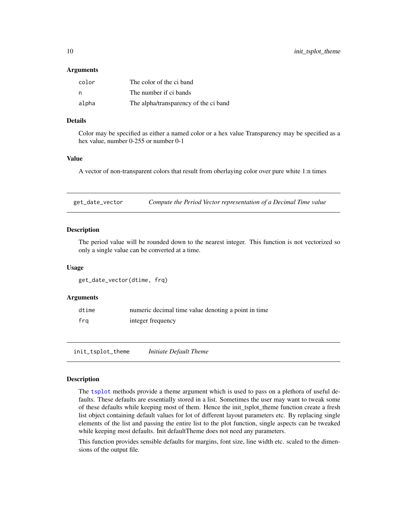#### <span id="page-9-0"></span>Arguments

| color | The color of the ci band              |
|-------|---------------------------------------|
| n     | The number if ci bands                |
| alpha | The alpha/transparency of the ci band |

#### Details

Color may be specified as either a named color or a hex value Transparency may be specified as a hex value, number 0-255 or number 0-1

#### Value

A vector of non-transparent colors that result from oberlaying color over pure white 1:n times

get\_date\_vector *Compute the Period Vector representation of a Decimal Time value*

### Description

The period value will be rounded down to the nearest integer. This function is not vectorized so only a single value can be converted at a time.

#### Usage

```
get_date_vector(dtime, frq)
```
#### Arguments

| dtime | numeric decimal time value denoting a point in time |
|-------|-----------------------------------------------------|
| fra   | integer frequency                                   |

<span id="page-9-1"></span>init\_tsplot\_theme *Initiate Default Theme*

#### Description

The [tsplot](#page-25-1) methods provide a theme argument which is used to pass on a plethora of useful defaults. These defaults are essentially stored in a list. Sometimes the user may want to tweak some of these defaults while keeping most of them. Hence the init\_tsplot\_theme function create a fresh list object containing default values for lot of different layout parameters etc. By replacing single elements of the list and passing the entire list to the plot function, single aspects can be tweaked while keeping most defaults. Init defaultTheme does not need any parameters.

This function provides sensible defaults for margins, font size, line width etc. scaled to the dimensions of the output file.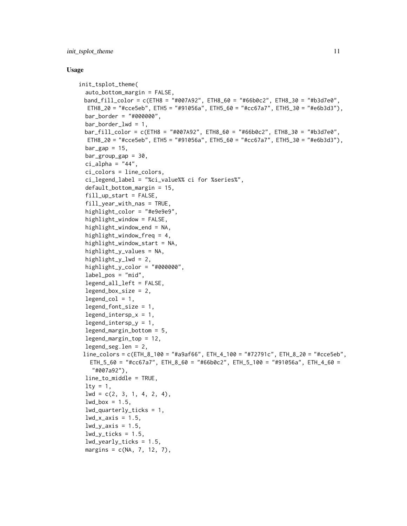```
init_tsplot_theme(
  auto_bottom_margin = FALSE,
 band_fill_color = c(ETH8 = "#007A92", ETH8_60 = "#66b0c2", ETH8_30 = "#b3d7e0",
  ETH8_20 = "#cce5eb", ETH5 = "#91056a", ETH5_60 = "#cc67a7", ETH5_30 = "#e6b3d3"),
 bar_border = "#000000",
  bar_border_lwd = 1,
 bar_fill_color = c(ETH8 = "#007A92", ETH8_60 = "#66b0c2", ETH8_30 = "#b3d7e0",
  ETH8_20 = "#cce5eb", ETH5 = "#91056a", ETH5_60 = "#cc67a7", ETH5_30 = "#e6b3d3"),
  bar_gap = 15,
  bar_{group\_gap} = 30,
  ci<sub>-alpha</sub> = "44",
  ci_colors = line_colors,
  ci_legend_label = "%ci_value%% ci for %series%",
  default_bottom_margin = 15,
  fill_up_start = FALSE,
  fill_year_with_nas = TRUE,
  highlight_color = "#e9e9e9",
  highlight_window = FALSE,
  highlight_window_end = NA,
  highlight_window_freq = 4,
  highlight_window_start = NA,
  highlight_y_values = NA,
  highlight_y_lwd = 2,
  highlight_y_color = "#000000",
  label\_pos = "mid",legend_all_left = FALSE,
  legend_box_size = 2,legend_{col} = 1,legend_font_size = 1,
  legend_interestp_x = 1,
  legend_intersp_y = 1,
  legend_margin_bottom = 5,
  legend_margin_top = 12,
  legend_seg.len = 2,
 line_colors = c(ETH_8_100 = "#a9af66", ETH_4_100 = "#72791c", ETH_8_20 = "#cce5eb",
   ETH_5_60 = "#cc67a7", ETH_8_60 = "#66b0c2", ETH_5_100 = "#91056a", ETH_4_60 =
    "#007a92"),
  line_to_middle = TRUE,
  lty = 1,1wd = c(2, 3, 1, 4, 2, 4),lwd_box = 1.5,
  1wd_quarter1y_ticks = 1,
  lwd_x_axis = 1.5,
  lwd_v_axis = 1.5,
  lwd_y_ticks = 1.5,
  lwd_yearly_ticks = 1.5,
  margins = c(NA, 7, 12, 7),
```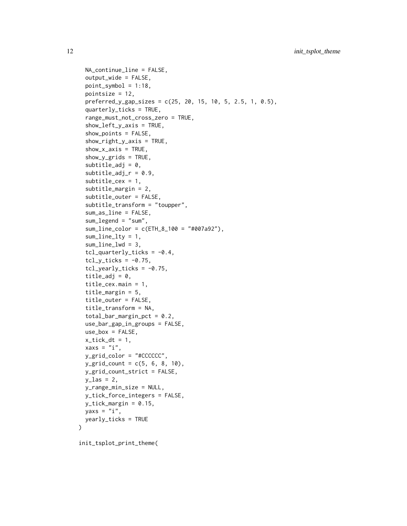```
NA_continue_line = FALSE,
  output_wide = FALSE,
  point_symbol = 1:18,
 pointsize = 12,
  preferred_y_gap_sizes = c(25, 20, 15, 10, 5, 2.5, 1, 0.5),
  quarterly_ticks = TRUE,
  range_must_not_cross_zero = TRUE,
  show_left_y_axis = TRUE,
  show_points = FALSE,
  show_right_y_axis = TRUE,
  show_x_axis = TRUE,show_y_grids = TRUE,subtitle\_adj = 0,subtitle\_adj_r = 0.9,
  subtitle\_cex = 1,
  subtitle_margin = 2,
  subtitle_outer = FALSE,
  subtitle_transform = "toupper",
  sum_as_line = FALSE,
  sum_legend = "sum",
  sum_line_color = c(ETH_8_100 = "#007a92"),
  sum\_line\_lty = 1,
  sum_line_lwd = 3,
  tcl_q \text{underly\_ticks = -0.4},
  tcl_y_ticks = -0.75,
  tcl\_yearly\_ticks = -0.75,
  title_adj = 0,
  title_cex.main = 1,
  title_margin = 5,
  title_outer = FALSE,
  title_transform = NA,
  total_bar_margin_pct = 0.2,
  use_bar_gap_in_groups = FALSE,
 use_box = FALSE,
  x\_tick\_dt = 1,
  xaxs = "i",ygrid_color = "#CCCCCC",
 y_{\text{eff}} count = c(5, 6, 8, 10),
 y_grid_count_strict = FALSE,
 y_las = 2,
 y_range_min_size = NULL,
 y_tick_force_integers = FALSE,
 y_tick_margin = 0.15,
 yaxs = "i",yearly_ticks = TRUE
)
```
init\_tsplot\_print\_theme(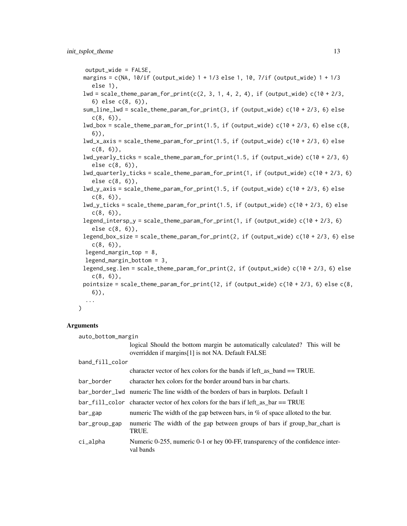```
output_wide = FALSE,
margins = c(NA, 10/if (output_wide) 1 + 1/3 else 1, 10, 7/if (output_wide) 1 + 1/3
  else 1),
lwd = scale_theme_param_for_print(c(2, 3, 1, 4, 2, 4), if (output_wide) c(10 + 2/3,
  6) else c(8, 6)),
sum_line_lwd = scale_theme_param_for_print(3, if (output_wide) c(10 + 2/3, 6) else
  c(8, 6),
lwd_box = scale_theme_param_for_print(1.5, if (output_wide) c(10 + 2/3, 6) else c(8,6)),
lwd_x_axis = scale_theme_param_for_print(1.5, if (output_wide) c(10 + 2/3, 6) else
  c(8, 6),
lwd_yearly_ticks = scale_theme_param_for_print(1.5, if (output_wide) c(10 + 2/3, 6)
  else c(8, 6)),
lwd_quarterly_ticks = scale_theme_param_for_print(1, if (output_wide) c(10 + 2/3, 6)
  else c(8, 6)),
lwd_y_axis = scale_theme_param_for_print(1.5, if (output_wide) c(10 + 2/3, 6) else
  c(8, 6),
lwd_y_tticks = scale_theme_param_for_print(1.5, if (output_wide) c(10 + 2/3, 6) else
  c(8, 6),
legend_intersp_y = scale_theme_param_for_print(1, if (output_wide) c(10 + 2/3, 6)
  else c(8, 6)),
legend_box_size = scale_theme_param_for_print(2, if (output_wide) c(10 + 2/3, 6) else
  c(8, 6),
legend_margin_top = 8,
legend_margin_bottom = 3,
legend_seg.len = scale_theme_param_for_print(2, if (output_wide) c(10 + 2/3, 6) else
  c(8, 6),
pointsize = scale_theme_param_for_print(12, if (output_wide) c(10 + 2/3, 6) else c(8,6)),
 ...
```
#### Arguments

)

| auto_bottom_margin |                                                                                                                                                                                                                                                                                                                                            |  |
|--------------------|--------------------------------------------------------------------------------------------------------------------------------------------------------------------------------------------------------------------------------------------------------------------------------------------------------------------------------------------|--|
|                    | logical Should the bottom margin be automatically calculated? This will be                                                                                                                                                                                                                                                                 |  |
|                    | overridden if margins[1] is not NA. Default FALSE                                                                                                                                                                                                                                                                                          |  |
| band_fill_color    |                                                                                                                                                                                                                                                                                                                                            |  |
|                    | character vector of hex colors for the bands if left as $band == TRUE$ .                                                                                                                                                                                                                                                                   |  |
| bar_border         | character hex colors for the border around bars in bar charts.                                                                                                                                                                                                                                                                             |  |
|                    | bar_border_1wd numeric The line width of the borders of bars in barplots. Default 1                                                                                                                                                                                                                                                        |  |
|                    | $bar_{eff}$ = TRUE bar $bar_{eff}$ as $bar_{eff}$ as $bar_{eff}$ as $bar_{eff}$ as $bar_{eff}$ as $bar_{eff}$ as $bar_{eff}$ as $bar_{eff}$ as $bar_{eff}$ as $bar_{eff}$ as $bar_{eff}$ as $bar_{eff}$ as $bar_{eff}$ as $bar_{eff}$ as $bar_{eff}$ as $bar_{eff}$ as $bar_{eff}$ as $bar_{eff}$ as $bar_{eff}$ as $bar_{eff}$ as $bar_{$ |  |
| bar_gap            | numeric The width of the gap between bars, in $%$ of space alloted to the bar.                                                                                                                                                                                                                                                             |  |
| bar_group_gap      | numeric The width of the gap between groups of bars if group_bar_chart is<br>TRUE.                                                                                                                                                                                                                                                         |  |
| $ci$ _alpha        | Numeric 0-255, numeric 0-1 or hey 00-FF, transparency of the confidence inter-<br>val bands                                                                                                                                                                                                                                                |  |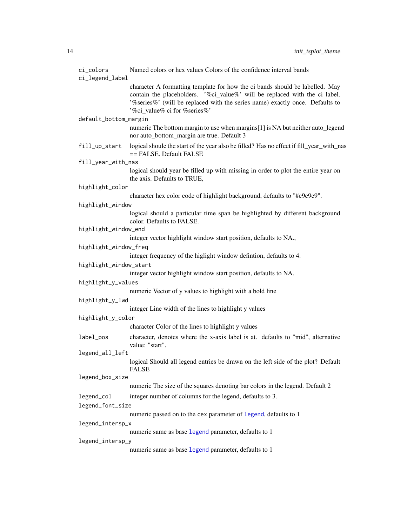<span id="page-13-0"></span>

| ci_colors<br>ci_legend_label | Named colors or hex values Colors of the confidence interval bands                                                                                                                                                                                                         |  |
|------------------------------|----------------------------------------------------------------------------------------------------------------------------------------------------------------------------------------------------------------------------------------------------------------------------|--|
|                              | character A formatting template for how the ci bands should be labelled. May<br>contain the placeholders. '%ci_value%' will be replaced with the ci label.<br>'%series%' (will be replaced with the series name) exactly once. Defaults to<br>'%ci value% ci for %series%' |  |
| default_bottom_margin        |                                                                                                                                                                                                                                                                            |  |
|                              | numeric The bottom margin to use when margins[1] is NA but neither auto_legend<br>nor auto_bottom_margin are true. Default 3                                                                                                                                               |  |
| fill_up_start                | logical shoule the start of the year also be filled? Has no effect if fill_year_with_nas<br>== FALSE. Default FALSE                                                                                                                                                        |  |
| fill_year_with_nas           |                                                                                                                                                                                                                                                                            |  |
|                              | logical should year be filled up with missing in order to plot the entire year on<br>the axis. Defaults to TRUE,                                                                                                                                                           |  |
| highlight_color              |                                                                                                                                                                                                                                                                            |  |
|                              | character hex color code of highlight background, defaults to "#e9e9e9".                                                                                                                                                                                                   |  |
| highlight_window             |                                                                                                                                                                                                                                                                            |  |
|                              | logical should a particular time span be highlighted by different background<br>color. Defaults to FALSE.                                                                                                                                                                  |  |
| highlight_window_end         |                                                                                                                                                                                                                                                                            |  |
|                              | integer vector highlight window start position, defaults to NA.,                                                                                                                                                                                                           |  |
| highlight_window_freq        |                                                                                                                                                                                                                                                                            |  |
|                              | integer frequency of the higlight window defintion, defaults to 4.                                                                                                                                                                                                         |  |
| highlight_window_start       |                                                                                                                                                                                                                                                                            |  |
|                              | integer vector highlight window start position, defaults to NA.                                                                                                                                                                                                            |  |
| highlight_y_values           |                                                                                                                                                                                                                                                                            |  |
|                              | numeric Vector of y values to highlight with a bold line                                                                                                                                                                                                                   |  |
| highlight_y_lwd              |                                                                                                                                                                                                                                                                            |  |
|                              | integer Line width of the lines to highlight y values                                                                                                                                                                                                                      |  |
| highlight_y_color            |                                                                                                                                                                                                                                                                            |  |
|                              | character Color of the lines to highlight y values                                                                                                                                                                                                                         |  |
| label_pos                    | character, denotes where the x-axis label is at. defaults to "mid", alternative                                                                                                                                                                                            |  |
|                              | value: "start".                                                                                                                                                                                                                                                            |  |
| legend_all_left              |                                                                                                                                                                                                                                                                            |  |
|                              | logical Should all legend entries be drawn on the left side of the plot? Default<br><b>FALSE</b>                                                                                                                                                                           |  |
| legend_box_size              |                                                                                                                                                                                                                                                                            |  |
|                              | numeric The size of the squares denoting bar colors in the legend. Default 2                                                                                                                                                                                               |  |
| legend_col                   | integer number of columns for the legend, defaults to 3.                                                                                                                                                                                                                   |  |
| legend_font_size             |                                                                                                                                                                                                                                                                            |  |
|                              | numeric passed on to the cex parameter of legend, defaults to 1                                                                                                                                                                                                            |  |
| legend_intersp_x             |                                                                                                                                                                                                                                                                            |  |
|                              | numeric same as base legend parameter, defaults to 1                                                                                                                                                                                                                       |  |
| legend_intersp_y             |                                                                                                                                                                                                                                                                            |  |
|                              | numeric same as base legend parameter, defaults to 1                                                                                                                                                                                                                       |  |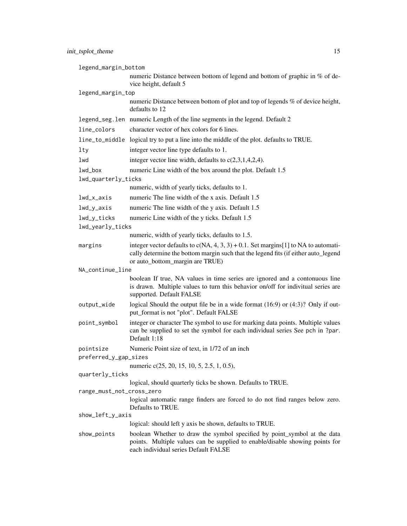| legend_margin_bottom      |                                                                                                                                                                                                                |  |
|---------------------------|----------------------------------------------------------------------------------------------------------------------------------------------------------------------------------------------------------------|--|
|                           | numeric Distance between bottom of legend and bottom of graphic in % of de-<br>vice height, default 5                                                                                                          |  |
| legend_margin_top         |                                                                                                                                                                                                                |  |
|                           | numeric Distance between bottom of plot and top of legends % of device height,<br>defaults to 12                                                                                                               |  |
|                           | legend_seg.len numeric Length of the line segments in the legend. Default 2                                                                                                                                    |  |
| line_colors               | character vector of hex colors for 6 lines.                                                                                                                                                                    |  |
|                           | line_to_middle logical try to put a line into the middle of the plot. defaults to TRUE.                                                                                                                        |  |
| lty                       | integer vector line type defaults to 1.                                                                                                                                                                        |  |
| lwd                       | integer vector line width, defaults to $c(2,3,1,4,2,4)$ .                                                                                                                                                      |  |
| lwd_box                   | numeric Line width of the box around the plot. Default 1.5                                                                                                                                                     |  |
| lwd_quarterly_ticks       |                                                                                                                                                                                                                |  |
|                           | numeric, width of yearly ticks, defaults to 1.                                                                                                                                                                 |  |
| lwd_x_axis                | numeric The line width of the x axis. Default 1.5                                                                                                                                                              |  |
| lwd_y_axis                | numeric The line width of the y axis. Default 1.5                                                                                                                                                              |  |
| lwd_y_ticks               | numeric Line width of the y ticks. Default 1.5                                                                                                                                                                 |  |
| lwd_yearly_ticks          |                                                                                                                                                                                                                |  |
|                           | numeric, width of yearly ticks, defaults to 1.5.                                                                                                                                                               |  |
| margins                   | integer vector defaults to $c(NA, 4, 3, 3) + 0.1$ . Set margins[1] to NA to automati-<br>cally determine the bottom margin such that the legend fits (if either auto_legend<br>or auto_bottom_margin are TRUE) |  |
| NA_continue_line          |                                                                                                                                                                                                                |  |
|                           | boolean If true, NA values in time series are ignored and a contonuous line<br>is drawn. Multiple values to turn this behavior on/off for indivitual series are<br>supported. Default FALSE                    |  |
| output_wide               | logical Should the output file be in a wide format $(16.9)$ or $(4.3)$ ? Only if out-<br>put_format is not "plot". Default FALSE                                                                               |  |
| point_symbol              | integer or character The symbol to use for marking data points. Multiple values<br>can be supplied to set the symbol for each individual series See pch in ?par.<br>Default 1:18                               |  |
| pointsize                 | Numeric Point size of text, in 1/72 of an inch                                                                                                                                                                 |  |
| preferred_y_gap_sizes     |                                                                                                                                                                                                                |  |
|                           | numeric c(25, 20, 15, 10, 5, 2.5, 1, 0.5),                                                                                                                                                                     |  |
| quarterly_ticks           |                                                                                                                                                                                                                |  |
| range_must_not_cross_zero | logical, should quarterly ticks be shown. Defaults to TRUE.                                                                                                                                                    |  |
|                           | logical automatic range finders are forced to do not find ranges below zero.<br>Defaults to TRUE.                                                                                                              |  |
| show_left_y_axis          |                                                                                                                                                                                                                |  |
|                           | logical: should left y axis be shown, defaults to TRUE.                                                                                                                                                        |  |
| show_points               | boolean Whether to draw the symbol specified by point_symbol at the data<br>points. Multiple values can be supplied to enable/disable showing points for<br>each individual series Default FALSE               |  |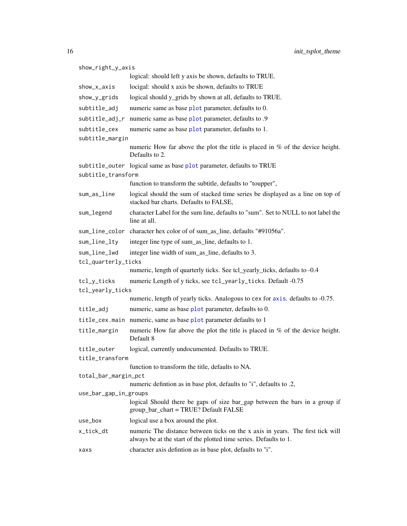| show_right_y_axis     |                                                                                                                                                     |  |
|-----------------------|-----------------------------------------------------------------------------------------------------------------------------------------------------|--|
|                       | logical: should left y axis be shown, defaults to TRUE.                                                                                             |  |
| show_x_axis           | locigal: should x axis be shown, defaults to TRUE                                                                                                   |  |
| show_y_grids          | logical should y_grids by shown at all, defaults to TRUE.                                                                                           |  |
| subtitle_adj          | numeric same as base plot parameter, defaults to 0.                                                                                                 |  |
| subtitle_adj_r        | numeric same as base plot parameter, defaults to .9                                                                                                 |  |
| subtitle_cex          | numeric same as base plot parameter, defaults to 1.                                                                                                 |  |
| subtitle_margin       |                                                                                                                                                     |  |
|                       | numeric How far above the plot the title is placed in $%$ of the device height.<br>Defaults to 2.                                                   |  |
|                       | subtitle_outer logical same as base plot parameter, defaults to TRUE                                                                                |  |
| subtitle_transform    |                                                                                                                                                     |  |
|                       | function to transform the subtitle, defaults to "toupper",                                                                                          |  |
| sum_as_line           | logical should the sum of stacked time series be displayed as a line on top of<br>stacked bar charts. Defaults to FALSE,                            |  |
| sum_legend            | character Label for the sum line, defaults to "sum". Set to NULL to not label the<br>line at all.                                                   |  |
|                       | sum_line_color character hex color of of sum_as_line, defaults "#91056a".                                                                           |  |
| sum_line_lty          | integer line type of sum_as_line, defaults to 1.                                                                                                    |  |
| sum_line_lwd          | integer line width of sum_as_line, defaults to 3.                                                                                                   |  |
| tcl_quarterly_ticks   |                                                                                                                                                     |  |
|                       | numeric, length of quarterly ticks. See tcl_yearly_ticks, defaults to -0.4                                                                          |  |
| tcl_y_ticks           | numeric Length of y ticks, see tcl_yearly_ticks. Default -0.75                                                                                      |  |
| tcl_yearly_ticks      |                                                                                                                                                     |  |
|                       | numeric, length of yearly ticks. Analogous to cex for axis. defaults to -0.75.                                                                      |  |
| title_adj             | numeric, same as base plot parameter, defaults to 0.                                                                                                |  |
|                       | title_cex.main numeric, same as base plot parameter defaults to 1                                                                                   |  |
| title_margin          | numeric How far above the plot the title is placed in $%$ of the device height.<br>Default 8                                                        |  |
| title_outer           | logical, currently undocumented. Defaults to TRUE.                                                                                                  |  |
| title_transform       |                                                                                                                                                     |  |
|                       | function to transform the title, defaults to NA.                                                                                                    |  |
| total_bar_margin_pct  |                                                                                                                                                     |  |
|                       | numeric defintion as in base plot, defaults to "i", defaults to .2,                                                                                 |  |
| use_bar_gap_in_groups | logical Should there be gaps of size bar_gap between the bars in a group if                                                                         |  |
|                       | group_bar_chart = TRUE? Default FALSE                                                                                                               |  |
| use_box               | logical use a box around the plot.                                                                                                                  |  |
| x_tick_dt             | numeric The distance between ticks on the x axis in years. The first tick will<br>always be at the start of the plotted time series. Defaults to 1. |  |
| xaxs                  | character axis defintion as in base plot, defaults to "i".                                                                                          |  |

<span id="page-15-0"></span>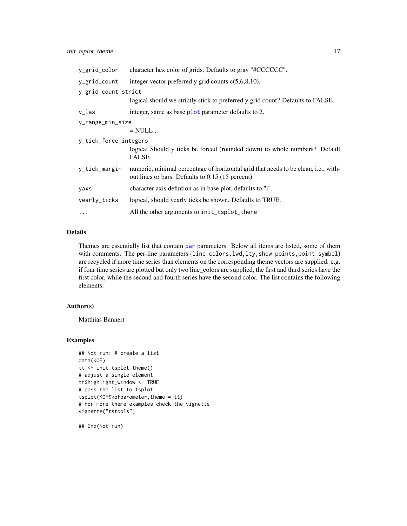<span id="page-16-0"></span>

| y_grid_color          | character hex color of grids. Defaults to gray "#CCCCCC".                                                                               |
|-----------------------|-----------------------------------------------------------------------------------------------------------------------------------------|
| y_grid_count          | integer vector preferred y grid counts $c(5,6,8,10)$ .                                                                                  |
| y_grid_count_strict   |                                                                                                                                         |
|                       | logical should we strictly stick to preferred y grid count? Defaults to FALSE.                                                          |
| y_las                 | integer, same as base plot parameter defaults to 2.                                                                                     |
| y_range_min_size      |                                                                                                                                         |
|                       | $=$ NULL,                                                                                                                               |
| y_tick_force_integers |                                                                                                                                         |
|                       | logical Should y ticks be forced (rounded down) to whole numbers? Default<br><b>FALSE</b>                                               |
| y_tick_margin         | numeric, minimal percentage of horizontal grid that needs to be clean, i.e., with-<br>out lines or bars. Defaults to 0.15 (15 percent). |
| yaxs                  | character axis defintion as in base plot, defaults to "i".                                                                              |
| yearly_ticks          | logical, should yearly ticks be shown. Defaults to TRUE.                                                                                |
| $\cdots$              | All the other arguments to init_tsplot_thene                                                                                            |

## Details

Themes are essentially list that contain [par](#page-0-0) parameters. Below all items are listed, some of them with comments. The per-line parameters (line\_colors,lwd,lty,show\_points,point\_symbol) are recycled if more time series than elements on the corresponding theme vectors are supplied. e.g. if four time series are plotted but only two line\_colors are supplied, the first and third series have the first color, while the second and fourth series have the second color. The list contains the following elements:

## Author(s)

Matthias Bannert

### Examples

```
## Not run: # create a list
data(KOF)
tt <- init_tsplot_theme()
# adjust a single element
tt$highlight_window <- TRUE
# pass the list to tsplot
tsplot(KOF$kofbarometer,theme = tt)
# for more theme examples check the vignette
vignette("tstools")
```
## End(Not run)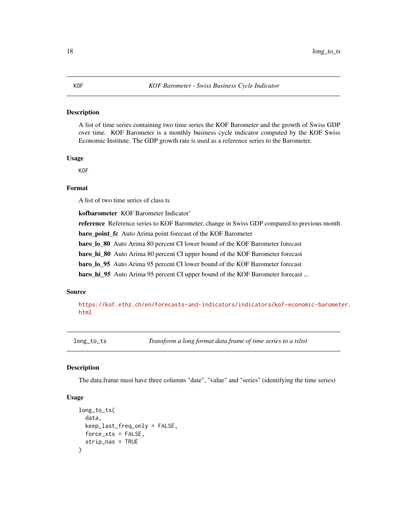#### <span id="page-17-0"></span>Description

A list of time series containing two time series the KOF Barometer and the growth of Swiss GDP over time. KOF Barometer is a monthly business cycle indicator computed by the KOF Swiss Economic Institute. The GDP growth rate is used as a reference series to the Barometer.

#### Usage

**KOF** 

## Format

A list of two time series of class ts

kofbarometer KOF Barometer Indicator' reference Reference series to KOF Barometer, change in Swiss GDP compared to previous month baro\_point\_fc Auto Arima point forecast of the KOF Barometer baro\_lo\_80 Auto Arima 80 percent CI lower bound of the KOF Barometer forecast baro\_hi\_80 Auto Arima 80 percent CI upper bound of the KOF Barometer forecast baro lo 95 Auto Arima 95 percent CI lower bound of the KOF Barometer forecast

baro\_hi\_95 Auto Arima 95 percent CI upper bound of the KOF Barometer forecast ...

## Source

[https://kof.ethz.ch/en/forecasts-and-indicators/indicators/kof-economic-baromet](https://kof.ethz.ch/en/forecasts-and-indicators/indicators/kof-economic-barometer.html)er. [html](https://kof.ethz.ch/en/forecasts-and-indicators/indicators/kof-economic-barometer.html)

long\_to\_ts *Transform a long format data.frame of time series to a tslist*

#### Description

The data.frame must have three columns "date", "value" and "series" (identifying the time series)

```
long_to_ts(
  data,
  keep_last_freq_only = FALSE,
 force_xts = FALSE,
  strip_nas = TRUE
)
```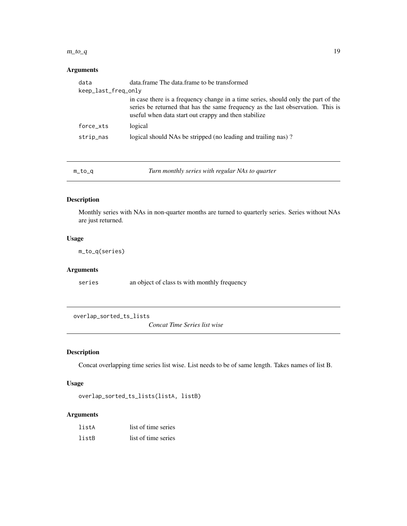#### <span id="page-18-0"></span> $m_to_q$  19

## Arguments

| data                | data.frame The data.frame to be transformed                                                                                                                                                                                  |
|---------------------|------------------------------------------------------------------------------------------------------------------------------------------------------------------------------------------------------------------------------|
| keep_last_freq_only |                                                                                                                                                                                                                              |
|                     | in case there is a frequency change in a time series, should only the part of the<br>series be returned that has the same frequency as the last observation. This is<br>useful when data start out crappy and then stabilize |
| force_xts           | logical                                                                                                                                                                                                                      |
| strip_nas           | logical should NAs be stripped (no leading and trailing nas)?                                                                                                                                                                |
|                     |                                                                                                                                                                                                                              |

<span id="page-18-1"></span>

m\_to\_q *Turn monthly series with regular NAs to quarter*

## Description

Monthly series with NAs in non-quarter months are turned to quarterly series. Series without NAs are just returned.

#### Usage

m\_to\_q(series)

#### Arguments

series an object of class ts with monthly frequency

<span id="page-18-2"></span>overlap\_sorted\_ts\_lists

*Concat Time Series list wise*

## Description

Concat overlapping time series list wise. List needs to be of same length. Takes names of list B.

## Usage

overlap\_sorted\_ts\_lists(listA, listB)

| listA | list of time series |
|-------|---------------------|
| listB | list of time series |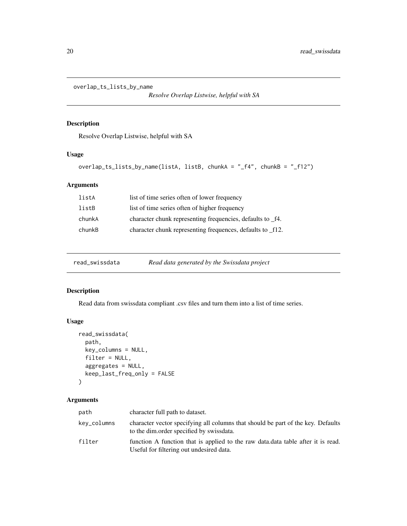<span id="page-19-1"></span><span id="page-19-0"></span>overlap\_ts\_lists\_by\_name

*Resolve Overlap Listwise, helpful with SA*

## Description

Resolve Overlap Listwise, helpful with SA

## Usage

```
overlap_ts_lists_by_name(listA, listB, chunkA = "_f4", chunkB = "_f12")
```
## Arguments

| listA  | list of time series often of lower frequency               |
|--------|------------------------------------------------------------|
| listB  | list of time series often of higher frequency              |
| chunkA | character chunk representing frequencies, defaults to _f4. |
| chunkB | character chunk representing frequences, defaults to _f12. |

| read_swissdata | Read data generated by the Swissdata project |  |  |
|----------------|----------------------------------------------|--|--|
|                |                                              |  |  |

## Description

Read data from swissdata compliant .csv files and turn them into a list of time series.

## Usage

```
read_swissdata(
 path,
 key_columns = NULL,
 filter = NULL,
 aggregates = NULL,
 keep_last_freq_only = FALSE
)
```

| path        | character full path to dataset.                                                                                               |
|-------------|-------------------------------------------------------------------------------------------------------------------------------|
| key_columns | character vector specifying all columns that should be part of the key. Defaults<br>to the dim.order specified by swissdata.  |
| filter      | function A function that is applied to the raw data. data table after it is read.<br>Useful for filtering out undesired data. |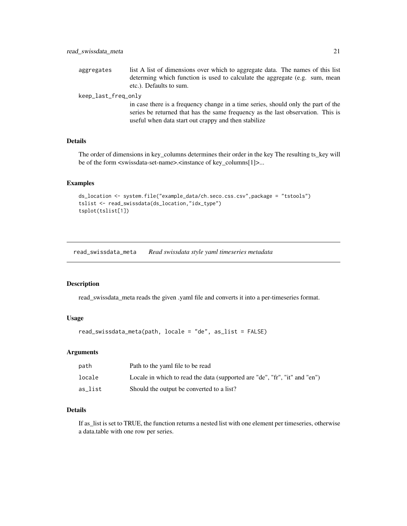<span id="page-20-0"></span>aggregates list A list of dimensions over which to aggregate data. The names of this list determing which function is used to calculate the aggregate (e.g. sum, mean etc.). Defaults to sum.

#### keep\_last\_freq\_only

in case there is a frequency change in a time series, should only the part of the series be returned that has the same frequency as the last observation. This is useful when data start out crappy and then stabilize

## **Details**

The order of dimensions in key\_columns determines their order in the key The resulting ts\_key will be of the form <swissdata-set-name>.<instance of key\_columns[1]>...

#### Examples

```
ds_location <- system.file("example_data/ch.seco.css.csv",package = "tstools")
tslist <- read_swissdata(ds_location,"idx_type")
tsplot(tslist[1])
```
read\_swissdata\_meta *Read swissdata style yaml timeseries metadata*

#### Description

read\_swissdata\_meta reads the given .yaml file and converts it into a per-timeseries format.

#### Usage

read\_swissdata\_meta(path, locale = "de", as\_list = FALSE)

#### Arguments

| path    | Path to the yaml file to be read                                           |
|---------|----------------------------------------------------------------------------|
| locale  | Locale in which to read the data (supported are "de", "fr", "it" and "en") |
| as list | Should the output be converted to a list?                                  |

## Details

If as\_list is set to TRUE, the function returns a nested list with one element per timeseries, otherwise a data.table with one row per series.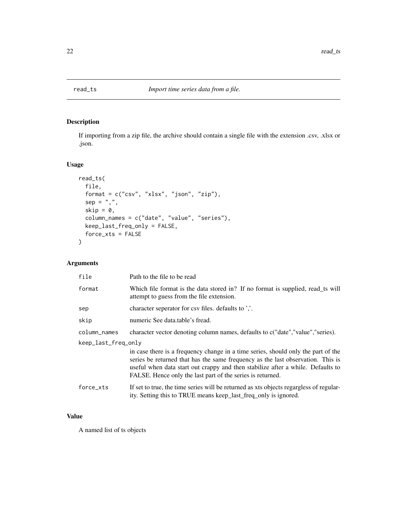<span id="page-21-1"></span><span id="page-21-0"></span>

## Description

If importing from a zip file, the archive should contain a single file with the extension .csv, .xlsx or .json.

## Usage

```
read_ts(
  file,
  format = c("csv", "xlsx", "json", "zip"),
 sep = ","skip = 0,column_names = c("date", "value", "series"),
 keep_last_freq_only = FALSE,
  force_xts = FALSE
\mathcal{L}
```
## Arguments

| file                | Path to the file to be read                                                                                                                                                                                                                                                                                           |  |
|---------------------|-----------------------------------------------------------------------------------------------------------------------------------------------------------------------------------------------------------------------------------------------------------------------------------------------------------------------|--|
| format              | Which file format is the data stored in? If no format is supplied, read_ts will<br>attempt to guess from the file extension.                                                                                                                                                                                          |  |
| sep                 | character seperator for csv files. defaults to '                                                                                                                                                                                                                                                                      |  |
| skip                | numeric See data.table's fread.                                                                                                                                                                                                                                                                                       |  |
| column_names        | character vector denoting column names, defaults to c("date", "value", "series).                                                                                                                                                                                                                                      |  |
| keep_last_freq_only |                                                                                                                                                                                                                                                                                                                       |  |
|                     | in case there is a frequency change in a time series, should only the part of the<br>series be returned that has the same frequency as the last observation. This is<br>useful when data start out crappy and then stabilize after a while. Defaults to<br>FALSE. Hence only the last part of the series is returned. |  |
| force_xts           | If set to true, the time series will be returned as xts objects regargless of regular-<br>ity. Setting this to TRUE means keep_last_freq_only is ignored.                                                                                                                                                             |  |

## Value

A named list of ts objects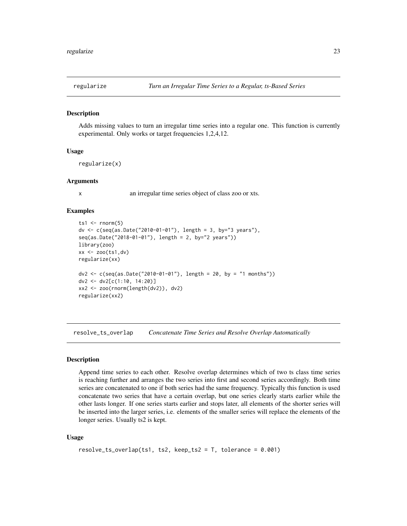<span id="page-22-0"></span>

#### Description

Adds missing values to turn an irregular time series into a regular one. This function is currently experimental. Only works or target frequencies 1,2,4,12.

#### Usage

```
regularize(x)
```
#### Arguments

x an irregular time series object of class zoo or xts.

#### Examples

```
ts1 \le rnorm(5)dv <- c(seq(as.Date("2010-01-01"), length = 3, by="3 years"),
seq(as.Date("2018-01-01"), length = 2, by="2 years"))
library(zoo)
xx <- zoo(ts1,dv)
regularize(xx)
dv2 <- c(seq(as.Date("2010-01-01"), length = 20, by = "1 months"))
dv2 <- dv2[c(1:10, 14:20)]
xx2 <- zoo(rnorm(length(dv2)), dv2)
regularize(xx2)
```
<span id="page-22-1"></span>resolve\_ts\_overlap *Concatenate Time Series and Resolve Overlap Automatically*

#### Description

Append time series to each other. Resolve overlap determines which of two ts class time series is reaching further and arranges the two series into first and second series accordingly. Both time series are concatenated to one if both series had the same frequency. Typically this function is used concatenate two series that have a certain overlap, but one series clearly starts earlier while the other lasts longer. If one series starts earlier and stops later, all elements of the shorter series will be inserted into the larger series, i.e. elements of the smaller series will replace the elements of the longer series. Usually ts2 is kept.

```
resolve_ts_overlap(ts1, ts2, keep_ts2 = T, tolerance = 0.001)
```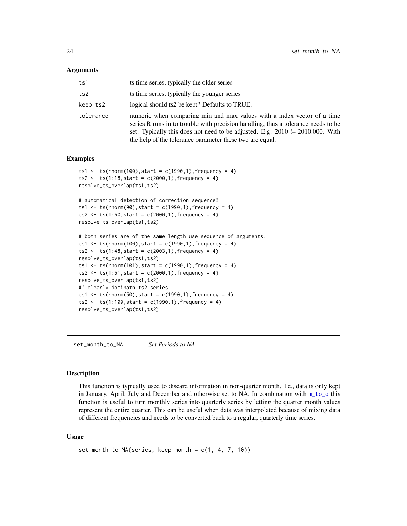#### <span id="page-23-0"></span>Arguments

| ts1       | ts time series, typically the older series                                                                                                                                                                                                                                                                |
|-----------|-----------------------------------------------------------------------------------------------------------------------------------------------------------------------------------------------------------------------------------------------------------------------------------------------------------|
| ts2       | ts time series, typically the younger series                                                                                                                                                                                                                                                              |
| keep_ts2  | logical should ts2 be kept? Defaults to TRUE.                                                                                                                                                                                                                                                             |
| tolerance | numeric when comparing min and max values with a index vector of a time<br>series R runs in to trouble with precision handling, thus a tolerance needs to be<br>set. Typically this does not need to be adjusted. E.g. 2010 != 2010.000. With<br>the help of the tolerance parameter these two are equal. |

#### Examples

```
ts1 <- ts(rnorm(100), start = c(1990, 1), frequency = 4)
ts2 \leq ts(1:18, start = c(2000, 1), frequency = 4)resolve_ts_overlap(ts1,ts2)
# automatical detection of correction sequence!
```

```
ts1 <- ts(rnorm(90), start = c(1990, 1), frequency = 4)
ts2 \leq ts(1:60, start = c(2000, 1), frequency = 4)resolve_ts_overlap(ts1,ts2)
```

```
# both series are of the same length use sequence of arguments.
ts1 <- ts(rnorm(100), start = c(1990, 1), frequency = 4)
ts2 \leq ts(1:48, start = c(2003, 1), frequency = 4)resolve_ts_overlap(ts1,ts2)
ts1 <- ts(rnorm(101), start = c(1990, 1), frequency = 4)
ts2 \leq ts(1:61, start = c(2000, 1), frequency = 4)resolve_ts_overlap(ts1,ts2)
#' clearly dominatn ts2 series
ts1 <- ts(rnorm(50), start = c(1990,1), frequency = 4)
ts2 \leq ts(1:100, start = c(1990, 1), frequency = 4)resolve_ts_overlap(ts1,ts2)
```
set\_month\_to\_NA *Set Periods to NA*

#### Description

This function is typically used to discard information in non-quarter month. I.e., data is only kept in January, April, July and December and otherwise set to NA. In combination with  $m_to_q$  this function is useful to turn monthly series into quarterly series by letting the quarter month values represent the entire quarter. This can be useful when data was interpolated because of mixing data of different frequencies and needs to be converted back to a regular, quarterly time series.

```
set\_month\_to_NA(series, keep\_month = c(1, 4, 7, 10))
```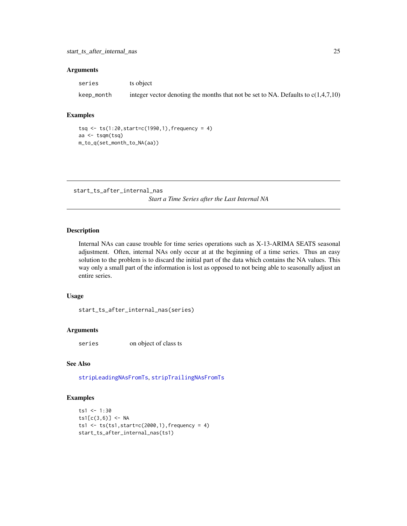## <span id="page-24-0"></span>Arguments

| series     | ts object                                                                           |
|------------|-------------------------------------------------------------------------------------|
| keep_month | integer vector denoting the months that not be set to NA. Defaults to $c(1,4,7,10)$ |

#### Examples

```
tsq <- ts(1:20,start=c(1990,1),frequency = 4)
aa <- tsqm(tsq)
m_to_q(set_month_to_NA(aa))
```
start\_ts\_after\_internal\_nas *Start a Time Series after the Last Internal NA*

## Description

Internal NAs can cause trouble for time series operations such as X-13-ARIMA SEATS seasonal adjustment. Often, internal NAs only occur at at the beginning of a time series. Thus an easy solution to the problem is to discard the initial part of the data which contains the NA values. This way only a small part of the information is lost as opposed to not being able to seasonally adjust an entire series.

#### Usage

start\_ts\_after\_internal\_nas(series)

#### Arguments

series on object of class ts

## See Also

[stripLeadingNAsFromTs](#page-28-1), [stripTrailingNAsFromTs](#page-28-1)

### Examples

```
ts1 < -1:30ts1[c(3,6)] < -NAts1 <- ts(ts1,start=c(2000,1), frequency = 4)
start_ts_after_internal_nas(ts1)
```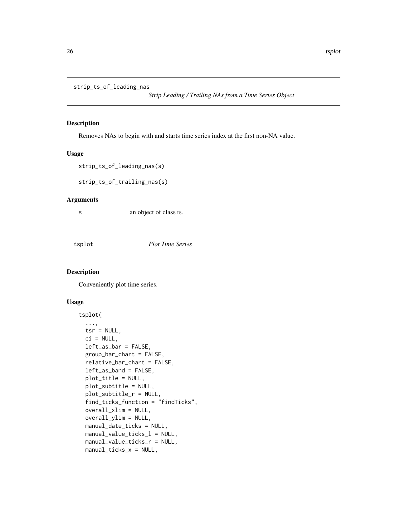<span id="page-25-2"></span><span id="page-25-0"></span>strip\_ts\_of\_leading\_nas

*Strip Leading / Trailing NAs from a Time Series Object*

## <span id="page-25-3"></span>Description

Removes NAs to begin with and starts time series index at the first non-NA value.

#### Usage

strip\_ts\_of\_leading\_nas(s)

strip\_ts\_of\_trailing\_nas(s)

#### Arguments

s an object of class ts.

<span id="page-25-1"></span>tsplot *Plot Time Series*

#### Description

Conveniently plot time series.

```
tsplot(
  ...,
  tsr = NULL,ci = NULL,left_as_bar = FALSE,
  group_bar_chart = FALSE,
  relative_bar_chart = FALSE,
 left_as_band = FALSE,
 plot_title = NULL,
 plot_subtitle = NULL,
 plot_subtitle_r = NULL,
  find_ticks_function = "findTicks",
  overall_xlim = NULL,
  overall_ylim = NULL,
 manual_date_ticks = NULL,
 manual_value_ticks_l = NULL,
 manual_value_ticks_r = NULL,
 manual_ticks_x = NULL,
```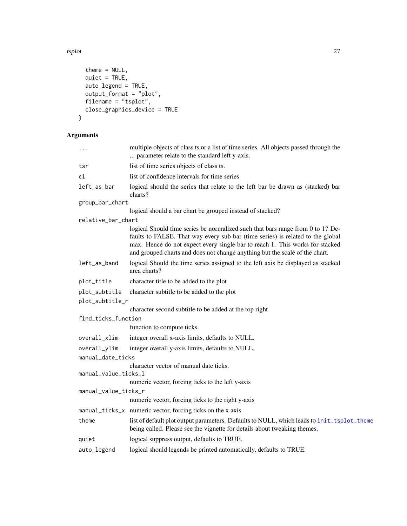<span id="page-26-0"></span>tsplot 27

```
theme = NULL,
 quiet = TRUE,
 auto legend = TRUE,
 output\_format = "plot",filename = "tsplot",
 close_graphics_device = TRUE
)
```

| .                    | multiple objects of class ts or a list of time series. All objects passed through the<br>parameter relate to the standard left y-axis.                                                                                                                                                                                          |
|----------------------|---------------------------------------------------------------------------------------------------------------------------------------------------------------------------------------------------------------------------------------------------------------------------------------------------------------------------------|
| tsr                  | list of time series objects of class ts.                                                                                                                                                                                                                                                                                        |
| сi                   | list of confidence intervals for time series                                                                                                                                                                                                                                                                                    |
| left_as_bar          | logical should the series that relate to the left bar be drawn as (stacked) bar<br>charts?                                                                                                                                                                                                                                      |
| group_bar_chart      |                                                                                                                                                                                                                                                                                                                                 |
|                      | logical should a bar chart be grouped instead of stacked?                                                                                                                                                                                                                                                                       |
| relative_bar_chart   |                                                                                                                                                                                                                                                                                                                                 |
|                      | logical Should time series be normalized such that bars range from 0 to 1? De-<br>faults to FALSE. That way every sub bar (time series) is related to the global<br>max. Hence do not expect every single bar to reach 1. This works for stacked<br>and grouped charts and does not change anything but the scale of the chart. |
| left_as_band         | logical Should the time series assigned to the left axis be displayed as stacked<br>area charts?                                                                                                                                                                                                                                |
| plot_title           | character title to be added to the plot                                                                                                                                                                                                                                                                                         |
| plot_subtitle        | character subtitle to be added to the plot                                                                                                                                                                                                                                                                                      |
| plot_subtitle_r      |                                                                                                                                                                                                                                                                                                                                 |
|                      | character second subtitle to be added at the top right                                                                                                                                                                                                                                                                          |
| find_ticks_function  |                                                                                                                                                                                                                                                                                                                                 |
|                      | function to compute ticks.                                                                                                                                                                                                                                                                                                      |
| overall_xlim         | integer overall x-axis limits, defaults to NULL.                                                                                                                                                                                                                                                                                |
| overall_ylim         | integer overall y-axis limits, defaults to NULL.                                                                                                                                                                                                                                                                                |
| manual_date_ticks    |                                                                                                                                                                                                                                                                                                                                 |
| manual_value_ticks_l | character vector of manual date ticks.                                                                                                                                                                                                                                                                                          |
|                      | numeric vector, forcing ticks to the left y-axis                                                                                                                                                                                                                                                                                |
| manual_value_ticks_r |                                                                                                                                                                                                                                                                                                                                 |
|                      | numeric vector, forcing ticks to the right y-axis                                                                                                                                                                                                                                                                               |
|                      | manual_ticks_x numeric vector, forcing ticks on the x axis                                                                                                                                                                                                                                                                      |
| theme                | list of default plot output parameters. Defaults to NULL, which leads to init_tsplot_theme<br>being called. Please see the vignette for details about tweaking themes.                                                                                                                                                          |
| quiet                | logical suppress output, defaults to TRUE.                                                                                                                                                                                                                                                                                      |
| auto_legend          | logical should legends be printed automatically, defaults to TRUE.                                                                                                                                                                                                                                                              |
|                      |                                                                                                                                                                                                                                                                                                                                 |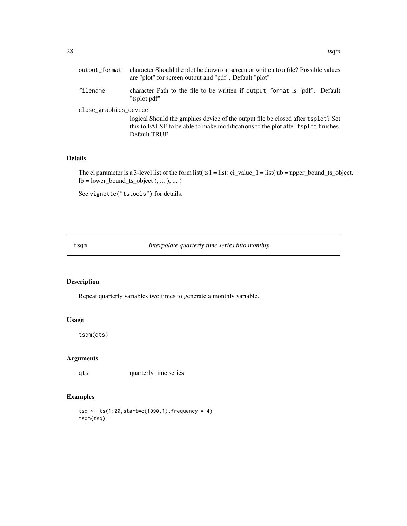<span id="page-27-0"></span>

| output_format         | character Should the plot be drawn on screen or written to a file? Possible values<br>are "plot" for screen output and "pdf". Default "plot"                                           |  |
|-----------------------|----------------------------------------------------------------------------------------------------------------------------------------------------------------------------------------|--|
| filename              | character Path to the file to be written if output_format is "pdf". Default<br>"tsplot.pdf"                                                                                            |  |
| close_graphics_device | logical Should the graphics device of the output file be closed after tsplot? Set<br>this to FALSE to be able to make modifications to the plot after tsplot finishes.<br>Default TRUE |  |

## Details

The ci parameter is a 3-level list of the form list( $t = 1$  = list( $ci_value_1 = list( ub = upper_bound_ts_,object,$  $lb = lower\_bound_ts\_object$  ), ... ), ... )

See vignette("tstools") for details.

tsqm *Interpolate quarterly time series into monthly*

## Description

Repeat quarterly variables two times to generate a monthly variable.

## Usage

tsqm(qts)

## Arguments

qts quarterly time series

## Examples

 $tsq < -ts(1:20, start = c(1990, 1), frequency = 4)$ tsqm(tsq)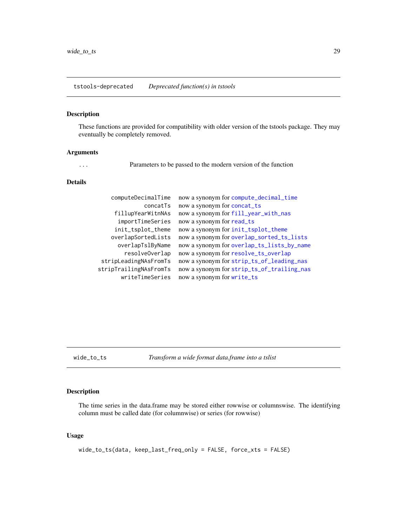## <span id="page-28-1"></span><span id="page-28-0"></span>Description

These functions are provided for compatibility with older version of the tstools package. They may eventually be completely removed.

#### Arguments

... Parameters to be passed to the modern version of the function

#### Details

| computeDecimalTime     | now a synonym for compute_decimal_time     |
|------------------------|--------------------------------------------|
| concatTs               | now a synonym for concat_ts                |
| fillupYearWitnNAs      | now a synonym for fill_year_with_nas       |
| importTimeSeries       | now a synonym for read_ts                  |
| init_tsplot_theme      | now a synonym for init_tsplot_theme        |
| overlapSortedLists     | now a synonym for overlap_sorted_ts_lists  |
| overlapTslByName       | now a synonym for overlap_ts_lists_by_name |
| resolveOverlap         | now a synonym for resolve_ts_overlap       |
| stripLeadingNAsFromTs  | now a synonym for strip_ts_of_leading_nas  |
| stripTrailingNAsFromTs | now a synonym for strip_ts_of_trailing_nas |
| writeTimeSeries        | now a synonym for write_ts                 |

wide\_to\_ts *Transform a wide format data.frame into a tslist*

## Description

The time series in the data.frame may be stored either rowwise or columnswise. The identifying column must be called date (for columnwise) or series (for rowwise)

## Usage

wide\_to\_ts(data, keep\_last\_freq\_only = FALSE, force\_xts = FALSE)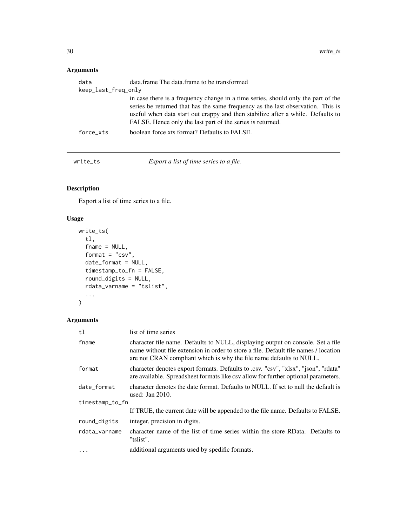## <span id="page-29-0"></span>Arguments

| data                | data.frame The data.frame to be transformed                                                                                                                                                                                                                                                                           |
|---------------------|-----------------------------------------------------------------------------------------------------------------------------------------------------------------------------------------------------------------------------------------------------------------------------------------------------------------------|
| keep_last_freq_only |                                                                                                                                                                                                                                                                                                                       |
|                     | in case there is a frequency change in a time series, should only the part of the<br>series be returned that has the same frequency as the last observation. This is<br>useful when data start out crappy and then stabilize after a while. Defaults to<br>FALSE. Hence only the last part of the series is returned. |
| force xts           | boolean force xts format? Defaults to FALSE.                                                                                                                                                                                                                                                                          |
|                     |                                                                                                                                                                                                                                                                                                                       |

<span id="page-29-1"></span>write\_ts *Export a list of time series to a file.*

## Description

Export a list of time series to a file.

## Usage

```
write_ts(
  tl,
  fname = NULL,
 format = "csv",
 date_format = NULL,
 timestamp_to_fn = FALSE,
  round_digits = NULL,
 rdata_varname = "tslist",
  ...
\mathcal{L}
```

| t1              | list of time series                                                                                                                                                                                                                           |  |
|-----------------|-----------------------------------------------------------------------------------------------------------------------------------------------------------------------------------------------------------------------------------------------|--|
| fname           | character file name. Defaults to NULL, displaying output on console. Set a file<br>name without file extension in order to store a file. Default file names / location<br>are not CRAN compliant which is why the file name defaults to NULL. |  |
| format          | character denotes export formats. Defaults to .csv. "csv", "xlsx", "json", "rdata"<br>are available. Spreadsheet formats like csv allow for further optional parameters.                                                                      |  |
| date_format     | character denotes the date format. Defaults to NULL. If set to null the default is<br>used: Jan $2010$ .                                                                                                                                      |  |
| timestamp_to_fn |                                                                                                                                                                                                                                               |  |
|                 | If TRUE, the current date will be appended to the file name. Defaults to FALSE.                                                                                                                                                               |  |
| round_digits    | integer, precision in digits.                                                                                                                                                                                                                 |  |
| rdata_varname   | character name of the list of time series within the store RData. Defaults to<br>"tslist".                                                                                                                                                    |  |
| $\ddots$ .      | additional arguments used by spedific formats.                                                                                                                                                                                                |  |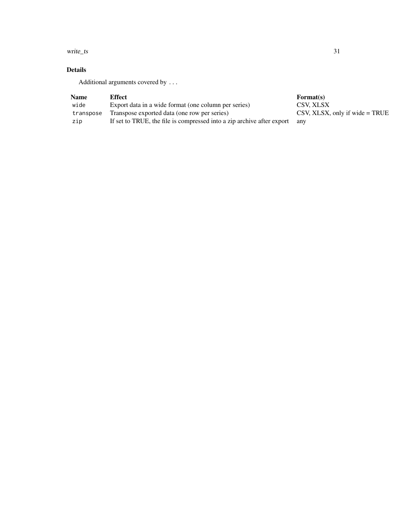write\_ts 31

## Details

Additional arguments covered by ...

| <b>Name</b> | Effect                                                                 | Format(s)                                                    |
|-------------|------------------------------------------------------------------------|--------------------------------------------------------------|
| wide        | Export data in a wide format (one column per series)                   | CSV. XLSX                                                    |
| transpose   | Transpose exported data (one row per series)                           | $\text{CSV}, \text{XLSX}, \text{only if wide} = \text{TRUE}$ |
| zip         | If set to TRUE, the file is compressed into a zip archive after export | anv                                                          |